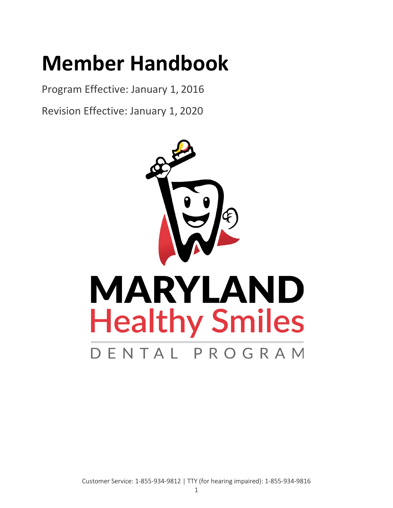# <span id="page-0-0"></span>**Member Handbook**

<span id="page-0-1"></span>Program Effective: January 1, 2016

<span id="page-0-2"></span>Revision Effective: January 1, 2020

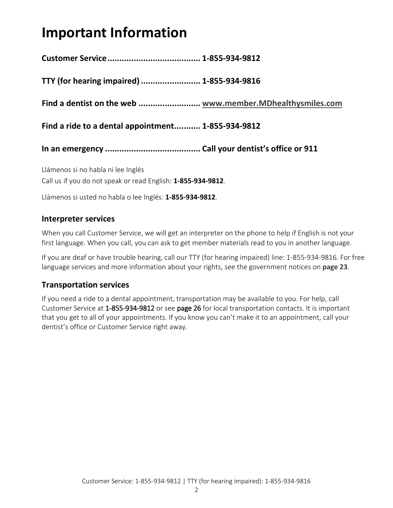# <span id="page-1-0"></span>**Important Information**

**Customer Service....................................... 1-855-934-9812**

**TTY (for hearing impaired)......................... 1-855-934-9816**

**Find a dentist on the web .......................... [www.member.MDhealthysmiles.com](http://www.member.mdhealthysmiles.com/)**

**Find a ride to a dental appointment........... 1-855-934-9812**

**In an emergency ........................................ Call your dentist's office or 911**

Llámenos si no habla ni lee Inglés Call us if you do not speak or read English: **1-855-934-9812**.

Llámenos si usted no habla o lee Inglés: **1-855-934-9812**.

#### **Interpreter services**

When you call Customer Service, we will get an interpreter on the phone to help if English is not your first language. When you call, you can ask to get member materials read to you in another language.

<span id="page-1-1"></span>If you are deaf or have trouble hearing, call our TTY (for hearing impaired) line: 1-855-934-9816. For free language services and more information about your rights, see the government notices on **page 23**.

#### **Transportation services**

If you need a ride to a dental appointment, transportation may be available to you. For help, call Customer Service at 1-855-934-9812 or see page 26 for local transportation contacts. It is important that you get to all of your appointments. If you know you can't make it to an appointment, call your dentist's office or Customer Service right away.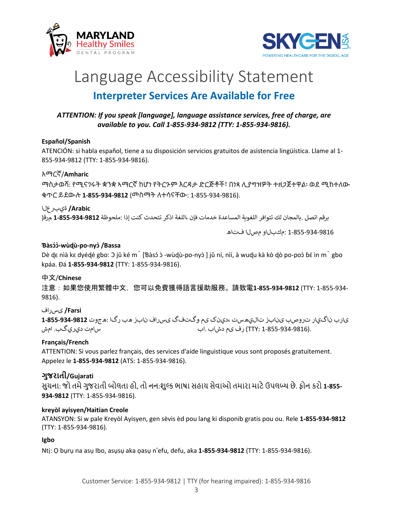



## Language Accessibility Statement **Interpreter Services Are Available for Free**

#### *ATTENTION: If you speak [language], language assistance services, free of charge, are available to you. Call 1-855-934-9812 (TTY: 1-855-934-9816).*

#### **Español/Spanish**

ATENCIÓN: si habla español, tiene a su disposición servicios gratuitos de asistencia lingüística. Llame al 1- 855-934-9812 (TTY: 1-855-934-9816).

#### አማርኛ/**Amharic**

ማስታወሻ: የሚናገሩት ቋንቋ ኣማርኛ ከሆነ የትርጉም እርዳታ ድርጅቶች፣ በነጻ ሊያግዝዎት ተዘጋጀተዋል፡ ወደ ሚከተለው ቁጥር ይደውሉ **1-855-934-9812** (መስማት ለተሳናቸው: 1-855-934-9816).

#### **Arabic/** ةيبرعلا

برقم اتصل .بالمجان لك تتوافر اللغ��ة المساعدة خدمات فإن ،اللغة اذكر تتحدث كنت إذا :ملحوظة **1-855-934-9812** مرق(

1-855-934-9816 :مكبلاو مصلا فتاه

#### **Ɓàsɔɔ́ ̀ -wùɖù-po-nyɔ̀/Bassa**

Dè dɛ nìà kɛ dyédé gbo: ɔ jǔ ké m` [Ɓàsɔ́ ɔ̀ -wùdù-po-nyɔ̀] jǔ ní, nìí, à wudu kà kò dò po-poɔ̀ bɛ́ ìn m` gbo kpáa. Ɖá **1-855-934-9812** (TTY: 1-855-934-9816).

#### 中文/**Chinese**

注意:如果您使用繁體中文,您可以免費獲得語言援助服務。請致電**1-855-934-9812** (TTY: 1-855-934- 9816).

#### **Farsi/** یسراف

یارب ناگيار تروصب ینابز تاليھست ،دينک یم وگتفگ یسراف نابز ھب رگا :ھجوت **1-855-934-9812** .(1-855-934-9816 :TTY (رف یم دشاب .اب سامت ديريگب. امش

#### **Français/French**

ATTENTION: Si vous parlez français, des services d'aide linguistique vous sont proposés gratuitement. Appelez le **1-855-934-9812** (ATS: 1-855-934-9816).

#### **ગુજરાતી/Gujarati**

સુચના: જો તમેગુજરાતી બોલતા હો, તો નન:શુલ્ક ભાષા સહાય સેવાઓ તમારા માટેઉપલબ્ધ છે. ફોન કરો **1-855- 934-9812** (TTY: 1-855-934-9816).

#### **kreyòl ayisyen/Haitian Creole**

ATANSYON: Si w pale Kreyòl Ayisyen, gen sèvis èd pou lang ki disponib gratis pou ou. Rele **1-855-934-9812**  (TTY: 1-855-934-9816).

#### **Igbo**

Ntị: Ọ bụrụ na asụ Ibo, asụsụ aka ọasụ n'efu, defu, aka **1-855-934-9812** (TTY: 1-855-934-9816).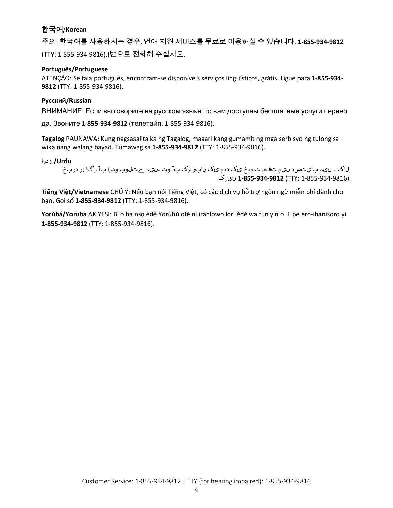#### 한국어/**Korean**

주의: 한국어를 사용하시는 경우, 언어 지원 서비스를 무료로 이용하실 수 있습니다. **1-855-934-9812**  (TTY: 1-855-934-9816).)번으로 전화해 주십시오.

#### **Português/Portuguese**

ATENÇÃO: Se fala português, encontram-se disponíveis serviços linguísticos, grátis. Ligue para **1-855-934- 9812** (TTY: 1-855-934-9816).

#### **Русский/Russian**

ВНИМАНИЕ: Если вы говорите на русском языке, то вам доступны бесплатные услуги перево

да. Звоните **1-855-934-9812** (телетайп: 1-855-934-9816).

**Tagalog** PAUNAWA: Kung nagsasalita ka ng Tagalog, maaari kang gumamit ng mga serbisyo ng tulong sa wika nang walang bayad. Tumawag sa **1-855-934-9812** (TTY: 1-855-934-9816).

**Urdu/** ودرا

.لاک ۔ ںيہ بايتسد ںيم تفم تامدخ یک ددم یک نابز وک پآ وت ،ںيہ ےتلوب ودرا پآ رگا :رادربخ .(1-855-934-9816 :TTY(**1-855-934-9812** ںيرک

**Tiếng Việt/Vietnamese** CHÚ Ý: Nếu bạn nói Tiếng Việt, có các dịch vụ hỗ trợ ngôn ngữ miễn phí dành cho bạn. Gọi số **1-855-934-9812** (TTY: 1-855-934-9816).

**Yorùbá/Yoruba** AKIYESI: Bi o ba nsọ èdè Yorùbú ọfé ni iranlọwọ lori èdè wa fun yin o. Ẹ pe ẹrọ-ibanisọrọ yi **1-855-934-9812** (TTY: 1-855-934-9816).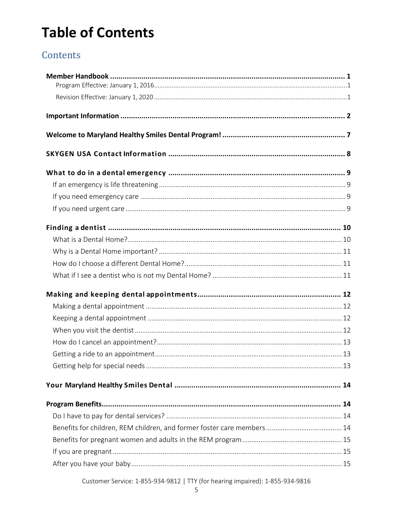# **Table of Contents**

#### Contents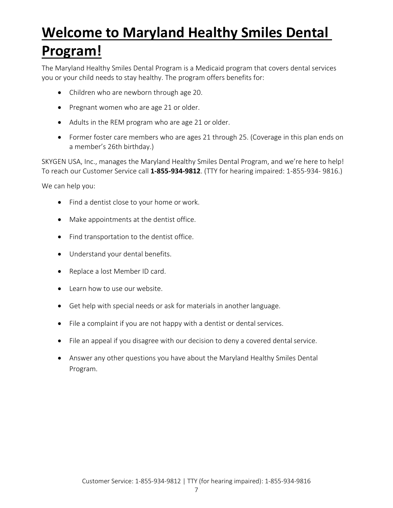# <span id="page-6-0"></span>**Welcome to Maryland Healthy Smiles Dental Program!**

#### The Maryland Healthy Smiles Dental Program is a Medicaid program that covers dental services you or your child needs to stay healthy. The program offers benefits for:

- Children who are newborn through age 20.
- Pregnant women who are age 21 or older.
- Adults in the REM program who are age 21 or older.
- Former foster care members who are ages 21 through 25. (Coverage in this plan ends on a member's 26th birthday.)

SKYGEN USA, Inc., manages the Maryland Healthy Smiles Dental Program, and we're here to help! To reach our Customer Service call **1-855-934-9812**. (TTY for hearing impaired: 1-855-934- 9816.)

We can help you:

- Find a dentist close to your home or work.
- Make appointments at the dentist office.
- Find transportation to the dentist office.
- Understand your dental benefits.
- Replace a lost Member ID card.
- Learn how to use our website.
- Get help with special needs or ask for materials in another language.
- File a complaint if you are not happy with a dentist or dental services.
- File an appeal if you disagree with our decision to deny a covered dental service.
- Answer any other questions you have about the Maryland Healthy Smiles Dental Program.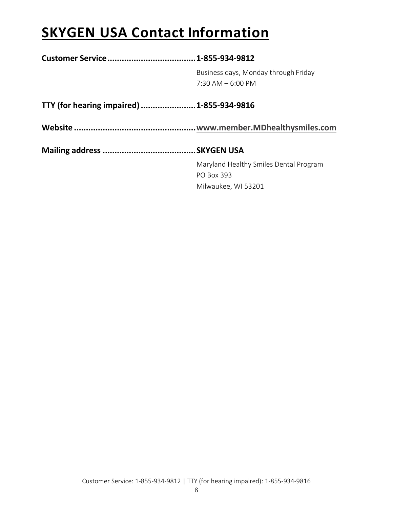# <span id="page-7-0"></span>**SKYGEN USA Contact Information**

|                                            | Business days, Monday through Friday   |
|--------------------------------------------|----------------------------------------|
|                                            | $7:30$ AM $-6:00$ PM                   |
| TTY (for hearing impaired)  1-855-934-9816 |                                        |
|                                            |                                        |
|                                            |                                        |
|                                            | Maryland Healthy Smiles Dental Program |
|                                            | <b>PO Box 393</b>                      |
|                                            | Milwaukee, WI 53201                    |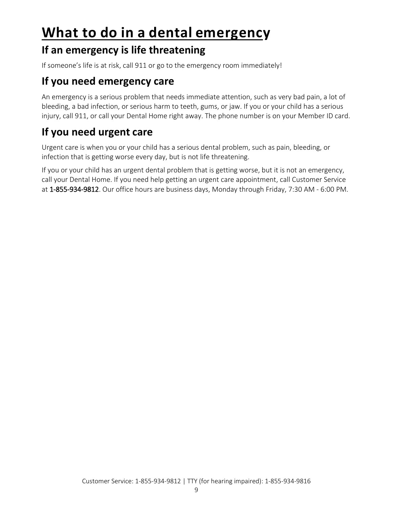# <span id="page-8-0"></span>**What to do in a dental emergency**

### <span id="page-8-1"></span>**If an emergency is life threatening**

If someone's life is at risk, call 911 or go to the emergency room immediately!

## <span id="page-8-2"></span>**If you need emergency care**

An emergency is a serious problem that needs immediate attention, such as very bad pain, a lot of bleeding, a bad infection, or serious harm to teeth, gums, or jaw. If you or your child has a serious injury, call 911, or call your Dental Home right away. The phone number is on your Member ID card.

## <span id="page-8-3"></span>**If you need urgent care**

Urgent care is when you or your child has a serious dental problem, such as pain, bleeding, or infection that is getting worse every day, but is not life threatening.

If you or your child has an urgent dental problem that is getting worse, but it is not an emergency, call your Dental Home. If you need help getting an urgent care appointment, call Customer Service at 1-855-934-9812. Our office hours are business days, Monday through Friday, 7:30 AM - 6:00 PM.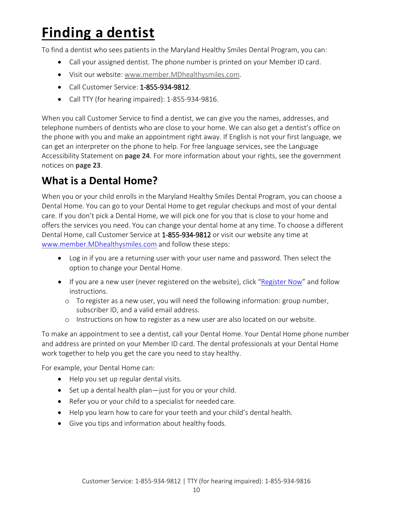# <span id="page-9-0"></span>**Finding a dentist**

To find a dentist who sees patients in the Maryland Healthy Smiles Dental Program, you can:

- Call your assigned dentist. The phone number is printed on your Member ID card.
- Visit our website: [www.member.MDhealthysmiles.com.](http://www.member.mdhealthysmiles.com/)
- Call Customer Service: 1-855-934-9812.
- Call TTY (for hearing impaired): 1-855-934-9816.

When you call Customer Service to find a dentist, we can give you the names, addresses, and telephone numbers of dentists who are close to your home. We can also get a dentist's office on the phone with you and make an appointment right away. If English is not your first language, we can get an interpreter on the phone to help. For free language services, see the Language Accessibility Statement on **page [24](#page-1-1)**. For more information about your rights, see the government notices on **page 23**.

### <span id="page-9-1"></span>**What is a Dental Home?**

When you or your child enrolls in the Maryland Healthy Smiles Dental Program, you can choose a Dental Home. You can go to your Dental Home to get regular checkups and most of your dental care. If you don't pick a Dental Home, we will pick one for you that is close to your home and offers the services you need. You can change your dental home at any time. To choose a different Dental Home, call Customer Service at 1-855-934-9812 or visit our website any time at [www.member.MDhealthysmiles.com](http://www.member.mdhealthysmiles.com/) and follow these steps:

- Log in if you are a returning user with your user name and password. Then select the option to change your Dental Home.
- If you are a new user (never registered on the website), click ["Register Now"](https://mdmwp.sciondental.com/Registration) and follow instructions.
	- o To register as a new user, you will need the following information: group number, subscriber ID, and a valid email address.
	- o Instructions on how to register as a new user are also located on our website.

To make an appointment to see a dentist, call your Dental Home. Your Dental Home phone number and address are printed on your Member ID card. The dental professionals at your Dental Home work together to help you get the care you need to stay healthy.

For example, your Dental Home can:

- Help you set up regular dental visits.
- Set up a dental health plan—just for you or your child.
- Refer you or your child to a specialist for needed care.
- Help you learn how to care for your teeth and your child's dental health.
- Give you tips and information about healthy foods.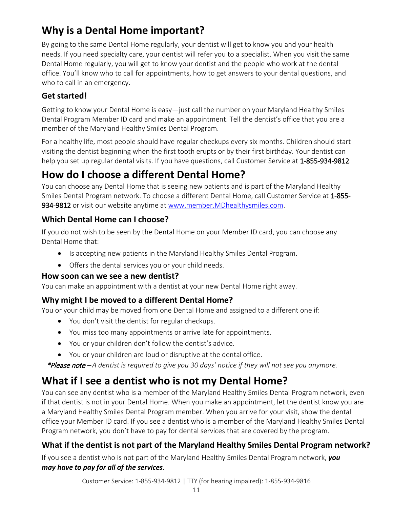## <span id="page-10-0"></span>**Why is a Dental Home important?**

By going to the same Dental Home regularly, your dentist will get to know you and your health needs. If you need specialty care, your dentist will refer you to a specialist. When you visit the same Dental Home regularly, you will get to know your dentist and the people who work at the dental office. You'll know who to call for appointments, how to get answers to your dental questions, and who to call in an emergency.

#### **Get started!**

Getting to know your Dental Home is easy—just call the number on your Maryland Healthy Smiles Dental Program Member ID card and make an appointment. Tell the dentist's office that you are a member of the Maryland Healthy Smiles Dental Program.

For a healthy life, most people should have regular checkups every six months. Children should start visiting the dentist beginning when the first tooth erupts or by their first birthday. Your dentist can help you set up regular dental visits. If you have questions, call Customer Service at 1-855-934-9812.

## <span id="page-10-1"></span>**How do I choose a different Dental Home?**

You can choose any Dental Home that is seeing new patients and is part of the Maryland Healthy Smiles Dental Program network. To choose a different Dental Home, call Customer Service at 1-855- 934-9812 or visit our website anytime at [www.member.MDhealthysmiles.com.](http://www.member.mdhealthysmiles.com/)

#### **Which Dental Home can I choose?**

If you do not wish to be seen by the Dental Home on your Member ID card, you can choose any Dental Home that:

- Is accepting new patients in the Maryland Healthy Smiles Dental Program.
- Offers the dental services you or your child needs.

#### **How soon can we see a new dentist?**

You can make an appointment with a dentist at your new Dental Home right away.

#### **Why might I be moved to a different Dental Home?**

You or your child may be moved from one Dental Home and assigned to a different one if:

- You don't visit the dentist for regular checkups.
- You miss too many appointments or arrive late for appointments.
- You or your children don't follow the dentist's advice.
- You or your children are loud or disruptive at the dental office.

\*Please note – *A dentist is required to give you 30 days' notice if they will not see you anymore.*

## <span id="page-10-2"></span>**What if I see a dentist who is not my Dental Home?**

You can see any dentist who is a member of the Maryland Healthy Smiles Dental Program network, even if that dentist is not in your Dental Home. When you make an appointment, let the dentist know you are a Maryland Healthy Smiles Dental Program member. When you arrive for your visit, show the dental office your Member ID card. If you see a dentist who is a member of the Maryland Healthy Smiles Dental Program network, you don't have to pay for dental services that are covered by the program.

#### **What if the dentist is not part of the Maryland Healthy Smiles Dental Program network?**

If you see a dentist who is not part of the Maryland Healthy Smiles Dental Program network, *you may have to pay for all of the services*.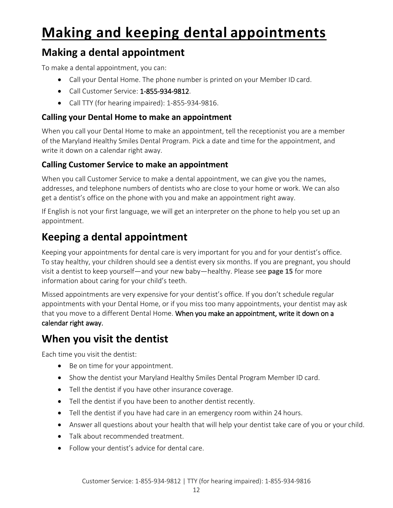# <span id="page-11-0"></span>**Making and keeping dental appointments**

## <span id="page-11-1"></span>**Making a dental appointment**

To make a dental appointment, you can:

- Call your Dental Home. The phone number is printed on your Member ID card.
- Call Customer Service: 1-855-934-9812.
- Call TTY (for hearing impaired): 1-855-934-9816.

#### **Calling your Dental Home to make an appointment**

When you call your Dental Home to make an appointment, tell the receptionist you are a member of the Maryland Healthy Smiles Dental Program. Pick a date and time for the appointment, and write it down on a calendar right away.

#### **Calling Customer Service to make an appointment**

When you call Customer Service to make a dental appointment, we can give you the names, addresses, and telephone numbers of dentists who are close to your home or work. We can also get a dentist's office on the phone with you and make an appointment right away.

If English is not your first language, we will get an interpreter on the phone to help you set up an appointment.

## <span id="page-11-2"></span>**Keeping a dental appointment**

Keeping your appointments for dental care is very important for you and for your dentist's office. To stay healthy, your children should see a dentist every six months. If you are pregnant, you should visit a dentist to keep yourself—and your new baby—healthy. Please see **page 15** for more information about caring for your child's teeth.

Missed appointments are very expensive for your dentist's office. If you don't schedule regular appointments with your Dental Home, or if you miss too many appointments, your dentist may ask that you move to a different Dental Home. When you make an appointment, write it down on a calendar right away.

### <span id="page-11-3"></span>**When you visit the dentist**

Each time you visit the dentist:

- Be on time for your appointment.
- Show the dentist your Maryland Healthy Smiles Dental Program Member ID card.
- Tell the dentist if you have other insurance coverage.
- Tell the dentist if you have been to another dentist recently.
- Tell the dentist if you have had care in an emergency room within 24 hours.
- Answer all questions about your health that will help your dentist take care of you or your child.
- Talk about recommended treatment.
- Follow your dentist's advice for dental care.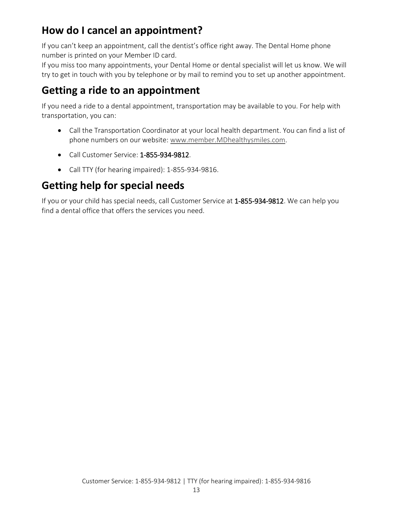### <span id="page-12-0"></span>**How do I cancel an appointment?**

If you can't keep an appointment, call the dentist's office right away. The Dental Home phone number is printed on your Member ID card.

If you miss too many appointments, your Dental Home or dental specialist will let us know. We will try to get in touch with you by telephone or by mail to remind you to set up another appointment.

### <span id="page-12-1"></span>**Getting a ride to an appointment**

If you need a ride to a dental appointment, transportation may be available to you. For help with transportation, you can:

- Call the Transportation Coordinator at your local health department. You can find a list of phone numbers on our website: [www.member.MDhealthysmiles.com.](http://www.member.mdhealthysmiles.com/)
- Call Customer Service: 1-855-934-9812.
- Call TTY (for hearing impaired): 1-855-934-9816.

## <span id="page-12-2"></span>**Getting help for special needs**

If you or your child has special needs, call Customer Service at 1-855-934-9812. We can help you find a dental office that offers the services you need.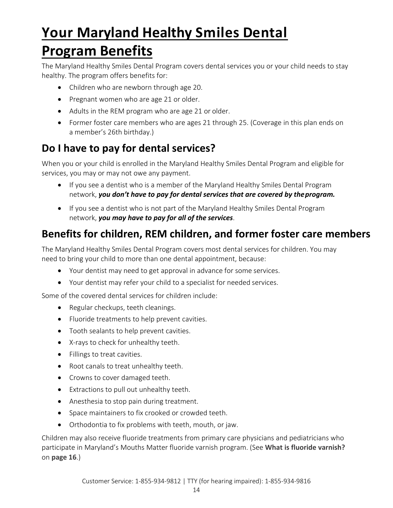# <span id="page-13-1"></span><span id="page-13-0"></span>**Your Maryland Healthy Smiles Dental Program Benefits**

The Maryland Healthy Smiles Dental Program covers dental services you or your child needs to stay healthy. The program offers benefits for:

- Children who are newborn through age 20.
- Pregnant women who are age 21 or older.
- Adults in the REM program who are age 21 or older.
- Former foster care members who are ages 21 through 25. (Coverage in this plan ends on a member's 26th birthday.)

### <span id="page-13-2"></span>**Do I have to pay for dental services?**

When you or your child is enrolled in the Maryland Healthy Smiles Dental Program and eligible for services, you may or may not owe any payment.

- If you see a dentist who is a member of the Maryland Healthy Smiles Dental Program network, *you don't have to pay for dental services that are covered by theprogram.*
- If you see a dentist who is not part of the Maryland Healthy Smiles Dental Program network, *you may have to pay for all of the services*.

### <span id="page-13-3"></span>**Benefits for children, REM children, and former foster care members**

The Maryland Healthy Smiles Dental Program covers most dental services for children. You may need to bring your child to more than one dental appointment, because:

- Your dentist may need to get approval in advance for some services.
- Your dentist may refer your child to a specialist for needed services.

Some of the covered dental services for children include:

- Regular checkups, teeth cleanings.
- Fluoride treatments to help prevent cavities.
- Tooth sealants to help prevent cavities.
- X-rays to check for unhealthy teeth.
- Fillings to treat cavities.
- Root canals to treat unhealthy teeth.
- Crowns to cover damaged teeth.
- Extractions to pull out unhealthy teeth.
- Anesthesia to stop pain during treatment.
- Space maintainers to fix crooked or crowded teeth.
- Orthodontia to fix problems with teeth, mouth, or jaw.

Children may also receive fluoride treatments from primary care physicians and pediatricians who participate in Maryland's Mouths Matter fluoride varnish program. (See **What is fluoride varnish?**  on **page 16**.)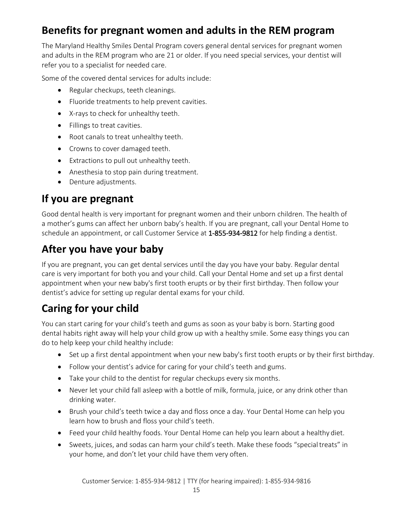## <span id="page-14-0"></span>**Benefits for pregnant women and adults in the REM program**

The Maryland Healthy Smiles Dental Program covers general dental services for pregnant women and adults in the REM program who are 21 or older. If you need special services, your dentist will refer you to a specialist for needed care.

Some of the covered dental services for adults include:

- Regular checkups, teeth cleanings.
- Fluoride treatments to help prevent cavities.
- X-rays to check for unhealthy teeth.
- Fillings to treat cavities.
- Root canals to treat unhealthy teeth.
- Crowns to cover damaged teeth.
- Extractions to pull out unhealthy teeth.
- Anesthesia to stop pain during treatment.
- Denture adjustments.

#### <span id="page-14-1"></span>**If you are pregnant**

Good dental health is very important for pregnant women and their unborn children. The health of a mother's gums can affect her unborn baby's health. If you are pregnant, call your Dental Home to schedule an appointment, or call Customer Service at 1-855-934-9812 for help finding a dentist.

### <span id="page-14-2"></span>**After you have your baby**

If you are pregnant, you can get dental services until the day you have your baby. Regular dental care is very important for both you and your child. Call your Dental Home and set up a first dental appointment when your new baby's first tooth erupts or by their first birthday. Then follow your dentist's advice for setting up regular dental exams for your child.

### <span id="page-14-3"></span>**Caring for your child**

You can start caring for your child's teeth and gums as soon as your baby is born. Starting good dental habits right away will help your child grow up with a healthy smile. Some easy things you can do to help keep your child healthy include:

- Set up a first dental appointment when your new baby's first tooth erupts or by their first birthday.
- Follow your dentist's advice for caring for your child's teeth and gums.
- Take your child to the dentist for regular checkups every six months.
- Never let your child fall asleep with a bottle of milk, formula, juice, or any drink other than drinking water.
- Brush your child's teeth twice a day and floss once a day. Your Dental Home can help you learn how to brush and floss your child's teeth.
- Feed your child healthy foods. Your Dental Home can help you learn about a healthy diet.
- Sweets, juices, and sodas can harm your child's teeth. Make these foods "specialtreats" in your home, and don't let your child have them very often.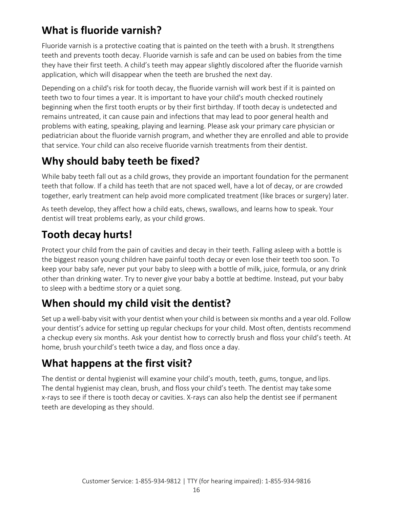## <span id="page-15-0"></span>**What is fluoride varnish?**

Fluoride varnish is a protective coating that is painted on the teeth with a brush. It strengthens teeth and prevents tooth decay. Fluoride varnish is safe and can be used on babies from the time they have their first teeth. A child's teeth may appear slightly discolored after the fluoride varnish application, which will disappear when the teeth are brushed the next day.

Depending on a child's risk for tooth decay, the fluoride varnish will work best if it is painted on teeth two to four times a year. It is important to have your child's mouth checked routinely beginning when the first tooth erupts or by their first birthday. If tooth decay is undetected and remains untreated, it can cause pain and infections that may lead to poor general health and problems with eating, speaking, playing and learning. Please ask your primary care physician or pediatrician about the fluoride varnish program, and whether they are enrolled and able to provide that service. Your child can also receive fluoride varnish treatments from their dentist.

## <span id="page-15-1"></span>**Why should baby teeth be fixed?**

While baby teeth fall out as a child grows, they provide an important foundation for the permanent teeth that follow. If a child has teeth that are not spaced well, have a lot of decay, or are crowded together, early treatment can help avoid more complicated treatment (like braces or surgery) later.

As teeth develop, they affect how a child eats, chews, swallows, and learns how to speak. Your dentist will treat problems early, as your child grows.

## <span id="page-15-2"></span>**Tooth decay hurts!**

Protect your child from the pain of cavities and decay in their teeth. Falling asleep with a bottle is the biggest reason young children have painful tooth decay or even lose their teeth too soon. To keep your baby safe, never put your baby to sleep with a bottle of milk, juice, formula, or any drink other than drinking water. Try to never give your baby a bottle at bedtime. Instead, put your baby to sleep with a bedtime story or a quiet song.

## <span id="page-15-3"></span>**When should my child visit the dentist?**

Set up a well-baby visit with your dentist when your child is between six months and a year old. Follow your dentist's advice for setting up regular checkups for your child. Most often, dentists recommend a checkup every six months. Ask your dentist how to correctly brush and floss your child's teeth. At home, brush yourchild's teeth twice a day, and floss once a day.

### <span id="page-15-4"></span>**What happens at the first visit?**

The dentist or dental hygienist will examine your child's mouth, teeth, gums, tongue, and lips. The dental hygienist may clean, brush, and floss your child's teeth. The dentist may take some x-rays to see if there is tooth decay or cavities. X-rays can also help the dentist see if permanent teeth are developing as they should.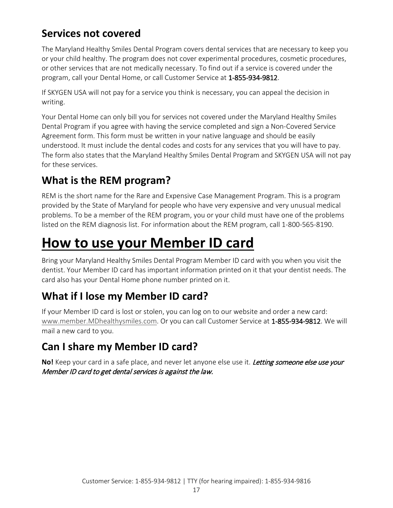### <span id="page-16-0"></span>**Services not covered**

The Maryland Healthy Smiles Dental Program covers dental services that are necessary to keep you or your child healthy. The program does not cover experimental procedures, cosmetic procedures, or other services that are not medically necessary. To find out if a service is covered under the program, call your Dental Home, or call Customer Service at 1-855-934-9812.

If SKYGEN USA will not pay for a service you think is necessary, you can appeal the decision in writing.

Your Dental Home can only bill you for services not covered under the Maryland Healthy Smiles Dental Program if you agree with having the service completed and sign a Non-Covered Service Agreement form. This form must be written in your native language and should be easily understood. It must include the dental codes and costs for any services that you will have to pay. The form also states that the Maryland Healthy Smiles Dental Program and SKYGEN USA will not pay for these services.

### <span id="page-16-1"></span>**What is the REM program?**

REM is the short name for the Rare and Expensive Case Management Program. This is a program provided by the State of Maryland for people who have very expensive and very unusual medical problems. To be a member of the REM program, you or your child must have one of the problems listed on the REM diagnosis list. For information about the REM program, call 1-800-565-8190.

# <span id="page-16-2"></span>**How to use your Member ID card**

Bring your Maryland Healthy Smiles Dental Program Member ID card with you when you visit the dentist. Your Member ID card has important information printed on it that your dentist needs. The card also has your Dental Home phone number printed on it.

### <span id="page-16-3"></span>**What if I lose my Member ID card?**

If your Member ID card is lost or stolen, you can log on to our website and order a new card: [www.member.MDhealthysmiles.com.](http://www.member.mdhealthysmiles.com/) Or you can call Customer Service at 1-855-934-9812. We will mail a new card to you.

## <span id="page-16-4"></span>**Can I share my Member ID card?**

**No!** Keep your card in a safe place, and never let anyone else use it. Letting someone else use your Member ID card to get dental services is against the law.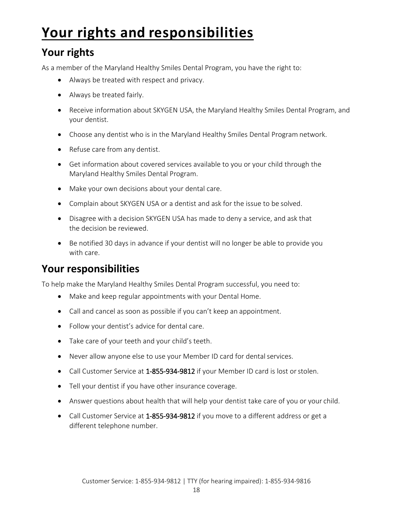# <span id="page-17-0"></span>**Your rights and responsibilities**

### <span id="page-17-1"></span>**Your rights**

As a member of the Maryland Healthy Smiles Dental Program, you have the right to:

- Always be treated with respect and privacy.
- Always be treated fairly.
- Receive information about SKYGEN USA, the Maryland Healthy Smiles Dental Program, and your dentist.
- Choose any dentist who is in the Maryland Healthy Smiles Dental Program network.
- Refuse care from any dentist.
- Get information about covered services available to you or your child through the Maryland Healthy Smiles Dental Program.
- Make your own decisions about your dental care.
- Complain about SKYGEN USA or a dentist and ask for the issue to be solved.
- Disagree with a decision SKYGEN USA has made to deny a service, and ask that the decision be reviewed.
- Be notified 30 days in advance if your dentist will no longer be able to provide you with care.

### <span id="page-17-2"></span>**Your responsibilities**

To help make the Maryland Healthy Smiles Dental Program successful, you need to:

- Make and keep regular appointments with your Dental Home.
- Call and cancel as soon as possible if you can't keep an appointment.
- Follow your dentist's advice for dental care.
- Take care of your teeth and your child's teeth.
- Never allow anyone else to use your Member ID card for dental services.
- Call Customer Service at 1-855-934-9812 if your Member ID card is lost or stolen.
- Tell your dentist if you have other insurance coverage.
- Answer questions about health that will help your dentist take care of you or your child.
- Call Customer Service at 1-855-934-9812 if you move to a different address or get a different telephone number.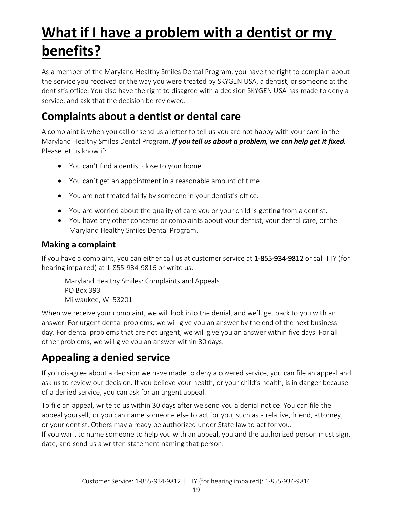# <span id="page-18-0"></span>**What if I have a problem with a dentist or my benefits?**

As a member of the Maryland Healthy Smiles Dental Program, you have the right to complain about the service you received or the way you were treated by SKYGEN USA, a dentist, or someone at the dentist's office. You also have the right to disagree with a decision SKYGEN USA has made to deny a service, and ask that the decision be reviewed.

## <span id="page-18-1"></span>**Complaints about a dentist or dental care**

A complaint is when you call or send us a letter to tell us you are not happy with your care in the Maryland Healthy Smiles Dental Program. *If you tell us about a problem, we can help get it fixed.* Please let us know if:

- You can't find a dentist close to your home.
- You can't get an appointment in a reasonable amount of time.
- You are not treated fairly by someone in your dentist's office.
- You are worried about the quality of care you or your child is getting from a dentist.
- You have any other concerns or complaints about your dentist, your dental care, orthe Maryland Healthy Smiles Dental Program.

#### **Making a complaint**

If you have a complaint, you can either call us at customer service at 1-855-934-9812 or call TTY (for hearing impaired) at 1-855-934-9816 or write us:

Maryland Healthy Smiles: Complaints and Appeals PO Box 393 Milwaukee, WI 53201

When we receive your complaint, we will look into the denial, and we'll get back to you with an answer. For urgent dental problems, we will give you an answer by the end of the next business day. For dental problems that are not urgent, we will give you an answer within five days. For all other problems, we will give you an answer within 30 days.

## <span id="page-18-2"></span>**Appealing a denied service**

If you disagree about a decision we have made to deny a covered service, you can file an appeal and ask us to review our decision. If you believe your health, or your child's health, is in danger because of a denied service, you can ask for an urgent appeal.

To file an appeal, write to us within 30 days after we send you a denial notice. You can file the appeal yourself, or you can name someone else to act for you, such as a relative, friend, attorney, or your dentist. Others may already be authorized under State law to act for you.

If you want to name someone to help you with an appeal, you and the authorized person must sign, date, and send us a written statement naming that person.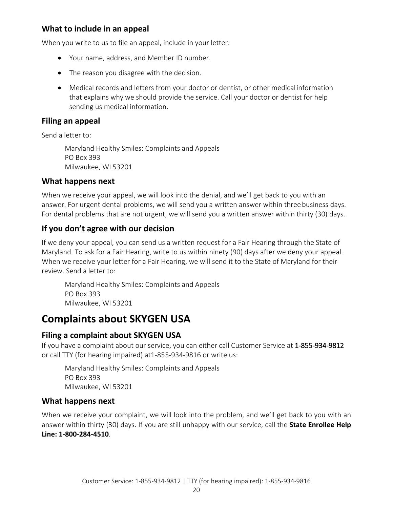#### **What to include in an appeal**

When you write to us to file an appeal, include in your letter:

- Your name, address, and Member ID number.
- The reason you disagree with the decision.
- Medical records and letters from your doctor or dentist, or other medical information that explains why we should provide the service. Call your doctor or dentist for help sending us medical information.

#### **Filing an appeal**

Send a letter to:

Maryland Healthy Smiles: Complaints and Appeals PO Box 393 Milwaukee, WI 53201

#### **What happens next**

When we receive your appeal, we will look into the denial, and we'll get back to you with an answer. For urgent dental problems, we will send you a written answer within threebusiness days. For dental problems that are not urgent, we will send you a written answer within thirty (30) days.

#### **If you don't agree with our decision**

If we deny your appeal, you can send us a written request for a Fair Hearing through the State of Maryland. To ask for a Fair Hearing, write to us within ninety (90) days after we deny your appeal. When we receive your letter for a Fair Hearing, we will send it to the State of Maryland for their review. Send a letter to:

Maryland Healthy Smiles: Complaints and Appeals PO Box 393 Milwaukee, WI 53201

#### <span id="page-19-0"></span>**Complaints about SKYGEN USA**

#### **Filing a complaint about SKYGEN USA**

If you have a complaint about our service, you can either call Customer Service at 1-855-934-9812 or call TTY (for hearing impaired) at1-855-934-9816 or write us:

Maryland Healthy Smiles: Complaints and Appeals PO Box 393 Milwaukee, WI 53201

#### **What happens next**

When we receive your complaint, we will look into the problem, and we'll get back to you with an answer within thirty (30) days. If you are still unhappy with our service, call the **State Enrollee Help Line: 1-800-284-4510**.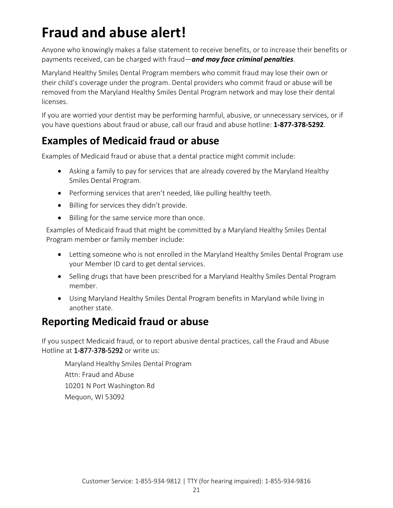# <span id="page-20-0"></span>**Fraud and abuse alert!**

Anyone who knowingly makes a false statement to receive benefits, or to increase their benefits or payments received, can be charged with fraud—*and may face criminal penalties*.

Maryland Healthy Smiles Dental Program members who commit fraud may lose their own or their child's coverage under the program. Dental providers who commit fraud or abuse will be removed from the Maryland Healthy Smiles Dental Program network and may lose their dental licenses.

If you are worried your dentist may be performing harmful, abusive, or unnecessary services, or if you have questions about fraud or abuse, call our fraud and abuse hotline: **1-877-378-5292**.

### <span id="page-20-1"></span>**Examples of Medicaid fraud or abuse**

Examples of Medicaid fraud or abuse that a dental practice might commit include:

- Asking a family to pay for services that are already covered by the Maryland Healthy Smiles Dental Program.
- Performing services that aren't needed, like pulling healthy teeth.
- Billing for services they didn't provide.
- Billing for the same service more than once.

Examples of Medicaid fraud that might be committed by a Maryland Healthy Smiles Dental Program member or family member include:

- Letting someone who is not enrolled in the Maryland Healthy Smiles Dental Program use your Member ID card to get dental services.
- Selling drugs that have been prescribed for a Maryland Healthy Smiles Dental Program member.
- Using Maryland Healthy Smiles Dental Program benefits in Maryland while living in another state.

### <span id="page-20-2"></span>**Reporting Medicaid fraud or abuse**

If you suspect Medicaid fraud, or to report abusive dental practices, call the Fraud and Abuse Hotline at 1-877-378-5292 or write us:

Maryland Healthy Smiles Dental Program Attn: Fraud and Abuse 10201 N Port Washington Rd Mequon, WI 53092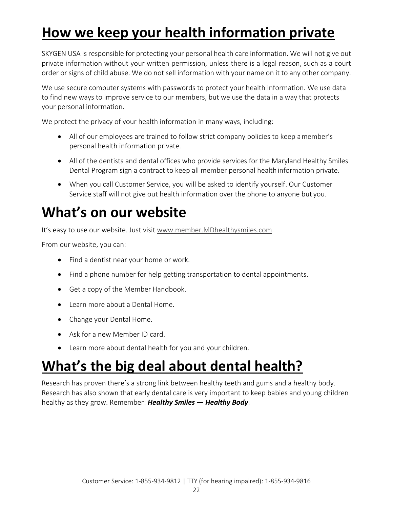# <span id="page-21-0"></span>**How we keep your health information private**

SKYGEN USA is responsible for protecting your personal health care information. We will not give out private information without your written permission, unless there is a legal reason, such as a court order or signs of child abuse. We do not sell information with your name on it to any other company.

We use secure computer systems with passwords to protect your health information. We use data to find new ways to improve service to our members, but we use the data in a way that protects your personal information.

We protect the privacy of your health information in many ways, including:

- All of our employees are trained to follow strict company policies to keep amember's personal health information private.
- All of the dentists and dental offices who provide services for the Maryland Healthy Smiles Dental Program sign a contract to keep all member personal healthinformation private.
- When you call Customer Service, you will be asked to identify yourself. Our Customer Service staff will not give out health information over the phone to anyone but you.

# <span id="page-21-1"></span>**What's on our website**

It's easy to use our website. Just visi[t www.member.MDhealthysmiles.com.](http://www.member.mdhealthysmiles.com/)

From our website, you can:

- Find a dentist near your home or work.
- Find a phone number for help getting transportation to dental appointments.
- Get a copy of the Member Handbook.
- Learn more about a Dental Home.
- Change your Dental Home.
- Ask for a new Member ID card.
- Learn more about dental health for you and your children.

# <span id="page-21-2"></span>**What's the big deal about dental health?**

Research has proven there's a strong link between healthy teeth and gums and a healthy body. Research has also shown that early dental care is very important to keep babies and young children healthy as they grow. Remember: *Healthy Smiles — Healthy Body*.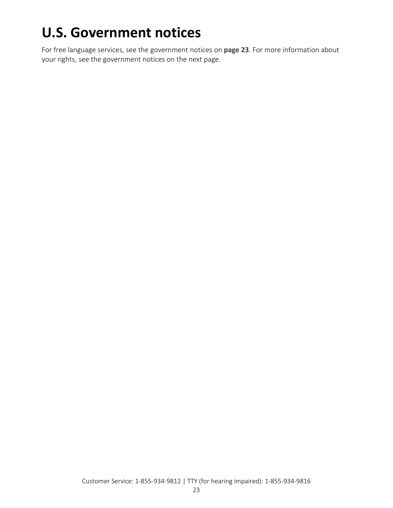# <span id="page-22-0"></span>**U.S. Government notices**

For free language services, see the government notices on **page [23](#page-1-1)**. For more information about your rights, see the government notices on the next page.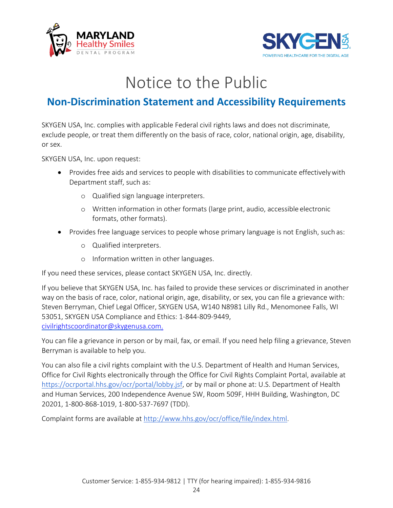



# Notice to the Public

### **Non-Discrimination Statement and Accessibility Requirements**

SKYGEN USA, Inc. complies with applicable Federal civil rights laws and does not discriminate, exclude people, or treat them differently on the basis of race, color, national origin, age, disability, or sex.

SKYGEN USA, Inc. upon request:

- Provides free aids and services to people with disabilities to communicate effectivelywith Department staff, such as:
	- o Qualified sign language interpreters.
	- o Written information in other formats (large print, audio, accessible electronic formats, other formats).
- Provides free language services to people whose primary language is not English, such as:
	- o Qualified interpreters.
	- o Information written in other languages.

If you need these services, please contact SKYGEN USA, Inc. directly.

If you believe that SKYGEN USA, Inc. has failed to provide these services or discriminated in another way on the basis of race, color, national origin, age, disability, or sex, you can file a grievance with: Steven Berryman, Chief Legal Officer, SKYGEN USA, W140 N8981 Lilly Rd., Menomonee Falls, WI 53051, SKYGEN USA Compliance and Ethics: 1-844-809-9449, [civilrightscoordinator@skygenusa.com.](mailto:civilrightscoordinator@skygenusa.com.)

You can file a grievance in person or by mail, fax, or email. If you need help filing a grievance, Steven Berryman is available to help you.

You can also file a civil rights complaint with the U.S. Department of Health and Human Services, Office for Civil Rights electronically through the Office for Civil Rights Complaint Portal, available at [https://ocrportal.hhs.gov/ocr/portal/lobby.jsf, o](https://ocrportal.hhs.gov/ocr/portal/lobby.jsf)r by mail or phone at: U.S. Department of Health and Human Services, 200 Independence Avenue SW, Room 509F, HHH Building, Washington, DC 20201, 1-800-868-1019, 1-800-537-7697 (TDD).

Complaint forms are available at [http://www.hhs.gov/ocr/office/file/index.html.](http://www.hhs.gov/ocr/office/file/index.html)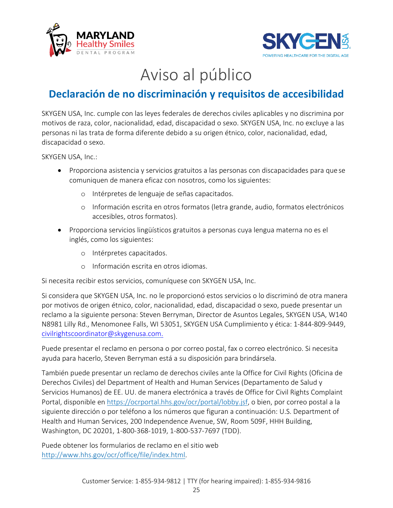



# Aviso al público

### **Declaración de no discriminación y requisitos de accesibilidad**

SKYGEN USA, Inc. cumple con las leyes federales de derechos civiles aplicables y no discrimina por motivos de raza, color, nacionalidad, edad, discapacidad o sexo. SKYGEN USA, Inc. no excluye a las personas ni las trata de forma diferente debido a su origen étnico, color, nacionalidad, edad, discapacidad o sexo.

SKYGEN USA, Inc.:

- Proporciona asistencia y servicios gratuitos a las personas con discapacidades para que se comuniquen de manera eficaz con nosotros, como los siguientes:
	- o Intérpretes de lenguaje de señas capacitados.
	- o Información escrita en otros formatos (letra grande, audio, formatos electrónicos accesibles, otros formatos).
- Proporciona servicios lingüísticos gratuitos a personas cuya lengua materna no es el inglés, como los siguientes:
	- o Intérpretes capacitados.
	- o Información escrita en otros idiomas.

Si necesita recibir estos servicios, comuníquese con SKYGEN USA, Inc.

Si considera que SKYGEN USA, Inc. no le proporcionó estos servicios o lo discriminó de otra manera por motivos de origen étnico, color, nacionalidad, edad, discapacidad o sexo, puede presentar un reclamo a la siguiente persona: Steven Berryman, Director de Asuntos Legales, SKYGEN USA, W140 N8981 Lilly Rd., Menomonee Falls, WI 53051, SKYGEN USA Cumplimiento y ética: 1-844-809-9449, [civilrightscoordinator@skygenusa.com.](mailto:civilrightscoordinator@skygenusa.com.)

Puede presentar el reclamo en persona o por correo postal, fax o correo electrónico. Si necesita ayuda para hacerlo, Steven Berryman está a su disposición para brindársela.

También puede presentar un reclamo de derechos civiles ante la Office for Civil Rights (Oficina de Derechos Civiles) del Department of Health and Human Services (Departamento de Salud y Servicios Humanos) de EE. UU. de manera electrónica a través de Office for Civil Rights Complaint Portal, disponible en [https://ocrportal.hhs.gov/ocr/portal/lobby.jsf,](https://ocrportal.hhs.gov/ocr/portal/lobby.jsf) o bien, por correo postal a la siguiente dirección o por teléfono a los números que figuran a continuación: U.S. Department of Health and Human Services, 200 Independence Avenue, SW, Room 509F, HHH Building, Washington, DC 20201, 1-800-368-1019, 1-800-537-7697 (TDD).

Puede obtener los formularios de reclamo en el sitio web [http://www.hhs.gov/ocr/office/file/index.html.](http://www.hhs.gov/ocr/office/file/index.html)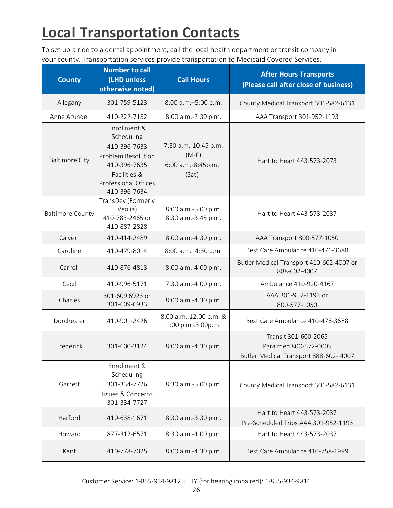# <span id="page-25-0"></span>**Local Transportation Contacts**

To set up a ride to a dental appointment, call the local health department or transit company in your county. Transportation services provide transportation to Medicaid Covered Services.

| <b>County</b>           | <b>Number to call</b><br>(LHD unless<br>otherwise noted)                                                                                               | <b>Call Hours</b>                                              | <b>After Hours Transports</b><br>(Please call after close of business)                  |
|-------------------------|--------------------------------------------------------------------------------------------------------------------------------------------------------|----------------------------------------------------------------|-----------------------------------------------------------------------------------------|
| Allegany                | 301-759-5123                                                                                                                                           | 8:00 a.m.-5:00 p.m.                                            | County Medical Transport 301-582-6131                                                   |
| Anne Arundel            | 410-222-7152                                                                                                                                           | 8:00 a.m.-2:30 p.m.                                            | AAA Transport 301-952-1193                                                              |
| <b>Baltimore City</b>   | Enrollment &<br>Scheduling<br>410-396-7633<br><b>Problem Resolution</b><br>410-396-7635<br>Facilities &<br><b>Professional Offices</b><br>410-396-7634 | 7:30 a.m.-10:45 p.m.<br>$(M-F)$<br>6:00 a.m.-8:45p.m.<br>(Sat) | Hart to Heart 443-573-2073                                                              |
| <b>Baltimore County</b> | TransDev (Formerly<br>Veolia)<br>410-783-2465 or<br>410-887-2828                                                                                       | 8:00 a.m.-5:00 p.m.<br>8:30 a.m.-3:45 p.m.                     | Hart to Heart 443-573-2037                                                              |
| Calvert                 | 410-414-2489                                                                                                                                           | 8:00 a.m.-4:30 p.m.                                            | AAA Transport 800-577-1050                                                              |
| Caroline                | 410-479-8014                                                                                                                                           | 8:00 a.m.-4:30 p.m.                                            | Best Care Ambulance 410-476-3688                                                        |
| Carroll                 | 410-876-4813                                                                                                                                           | 8:00 a.m.-4:00 p.m.                                            | Butler Medical Transport 410-602-4007 or<br>888-602-4007                                |
| Cecil                   | 410-996-5171                                                                                                                                           | 7:30 a.m.-4:00 p.m.                                            | Ambulance 410-920-4167                                                                  |
| Charles                 | 301-609 6923 or<br>301-609-6933                                                                                                                        | 8:00 a.m.-4:30 p.m.                                            | AAA 301-952-1193 or<br>800-577-1050                                                     |
| Dorchester              | 410-901-2426                                                                                                                                           | 8:00 a.m.-12:00 p.m. &<br>1:00 p.m.-3:00p.m.                   | Best Care Ambulance 410-476-3688                                                        |
| Frederick               | 301-600-3124                                                                                                                                           | 8:00 a.m.-4:30 p.m.                                            | Transit 301-600-2065<br>Para med 800-572-0005<br>Butler Medical Transport 888-602- 4007 |
| Garrett                 | Enrollment &<br>Scheduling<br>301-334-7726<br>Issues & Concerns<br>301-334-7727                                                                        | 8:30 a.m.-5:00 p.m.                                            | County Medical Transport 301-582-6131                                                   |
| Harford                 | 410-638-1671                                                                                                                                           | 8:30 a.m.-3:30 p.m.                                            | Hart to Heart 443-573-2037<br>Pre-Scheduled Trips AAA 301-952-1193                      |
| Howard                  | 877-312-6571                                                                                                                                           | 8:30 a.m.-4:00 p.m.                                            | Hart to Heart 443-573-2037                                                              |
| Kent                    | 410-778-7025                                                                                                                                           | 8:00 a.m.-4:30 p.m.                                            | Best Care Ambulance 410-758-1999                                                        |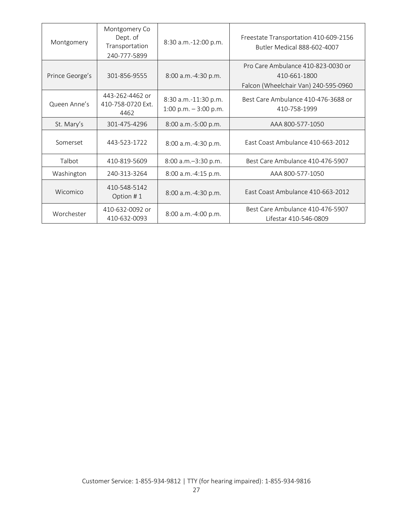| Montgomery      | Montgomery Co<br>Dept. of<br>Transportation<br>240-777-5899 | 8:30 a.m.-12:00 p.m.                           | Freestate Transportation 410-609-2156<br>Butler Medical 888-602-4007                       |
|-----------------|-------------------------------------------------------------|------------------------------------------------|--------------------------------------------------------------------------------------------|
| Prince George's | 301-856-9555                                                | 8:00 a.m.-4:30 p.m.                            | Pro Care Ambulance 410-823-0030 or<br>410-661-1800<br>Falcon (Wheelchair Van) 240-595-0960 |
| Queen Anne's    | 443-262-4462 or<br>410-758-0720 Ext.<br>4462                | 8:30 a.m.-11:30 p.m.<br>1:00 p.m. $-3:00$ p.m. | Best Care Ambulance 410-476-3688 or<br>410-758-1999                                        |
| St. Mary's      | 301-475-4296                                                | 8:00 a.m.-5:00 p.m.                            | AAA 800-577-1050                                                                           |
| Somerset        | 443-523-1722                                                | 8:00 a.m.-4:30 p.m.                            | East Coast Ambulance 410-663-2012                                                          |
| Talbot          | 410-819-5609                                                | 8:00 a.m.-3:30 p.m.                            | Best Care Ambulance 410-476-5907                                                           |
| Washington      | 240-313-3264                                                | 8:00 a.m.-4:15 p.m.                            | AAA 800-577-1050                                                                           |
| Wicomico        | 410-548-5142<br>Option #1                                   | 8:00 a.m.-4:30 p.m.                            | East Coast Ambulance 410-663-2012                                                          |
| Worchester      | 410-632-0092 or<br>410-632-0093                             | 8:00 a.m.-4:00 p.m.                            | Best Care Ambulance 410-476-5907<br>Lifestar 410-546-0809                                  |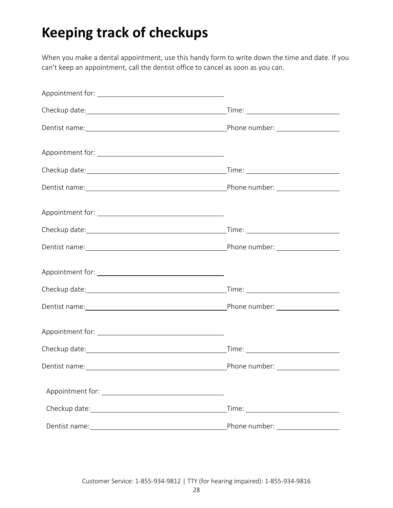# <span id="page-27-0"></span>**Keeping track of checkups**

When you make a dental appointment, use this handy form to write down the time and date. If you can't keep an appointment, call the dentist office to cancel as soon as you can.

| Phone number: <u>__________</u> |
|---------------------------------|